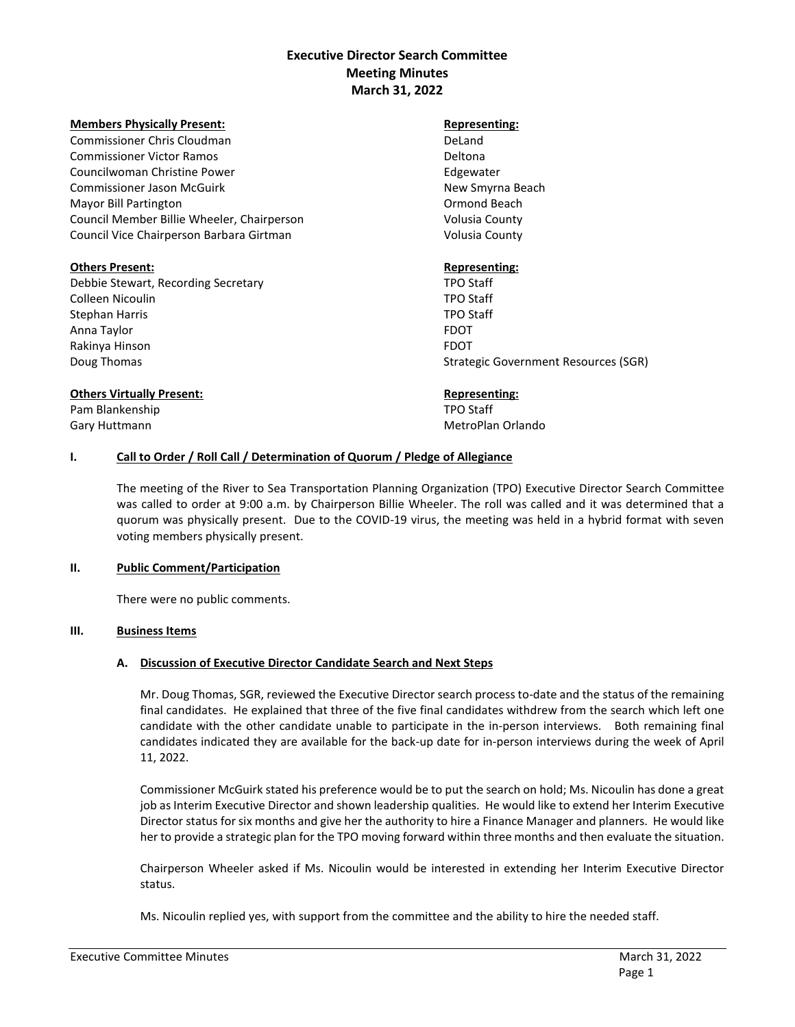# **Executive Director Search Committee Meeting Minutes March 31, 2022**

#### **Members Physically Present:** Representing:

Commissioner Chris Cloudman DeLand Commissioner Victor Ramos **Deltona** Deltona Councilwoman Christine Power **Edgewater** Edgewater Commissioner Jason McGuirk New Smyrna Beach Mayor Bill Partington Ormond Beach Council Member Billie Wheeler, Chairperson Volusia County Council Vice Chairperson Barbara Girtman Volusia County

### **Others Present: Representing: Representing: Representing: Representing: Representing: Representing: Representing: Representing: Representing: Representing: Representing: Representing: Representin**

Debbie Stewart, Recording Secretary TPO Staff Colleen Nicoulin TPO Staff Stephan Harris TPO Staff Anna Taylor Format and the set of the set of the set of the set of the set of the set of the set of the set of the set of the set of the set of the set of the set of the set of the set of the set of the set of the set of t Rakinya Hinson **FRAKING AT A TABLE AT A TABLE AT A TABLE AT A** TABLE AT A TABLE AT A TABLE AT A TABLE AT A TABLE

Doug Thomas Strategic Government Resources (SGR)

## **Others Virtually Present: Representing:**

Pam Blankenship TPO Staff Gary Huttmann MetroPlan Orlando Cary Huttmann MetroPlan Orlando

## **I. Call to Order / Roll Call / Determination of Quorum / Pledge of Allegiance**

The meeting of the River to Sea Transportation Planning Organization (TPO) Executive Director Search Committee was called to order at 9:00 a.m. by Chairperson Billie Wheeler. The roll was called and it was determined that a quorum was physically present. Due to the COVID-19 virus, the meeting was held in a hybrid format with seven voting members physically present.

### **II. Public Comment/Participation**

There were no public comments.

### **III. Business Items**

## **A. Discussion of Executive Director Candidate Search and Next Steps**

Mr. Doug Thomas, SGR, reviewed the Executive Director search process to-date and the status of the remaining final candidates. He explained that three of the five final candidates withdrew from the search which left one candidate with the other candidate unable to participate in the in-person interviews. Both remaining final candidates indicated they are available for the back-up date for in-person interviews during the week of April 11, 2022.

Commissioner McGuirk stated his preference would be to put the search on hold; Ms. Nicoulin has done a great job as Interim Executive Director and shown leadership qualities. He would like to extend her Interim Executive Director status for six months and give her the authority to hire a Finance Manager and planners. He would like her to provide a strategic plan for the TPO moving forward within three months and then evaluate the situation.

Chairperson Wheeler asked if Ms. Nicoulin would be interested in extending her Interim Executive Director status.

Ms. Nicoulin replied yes, with support from the committee and the ability to hire the needed staff.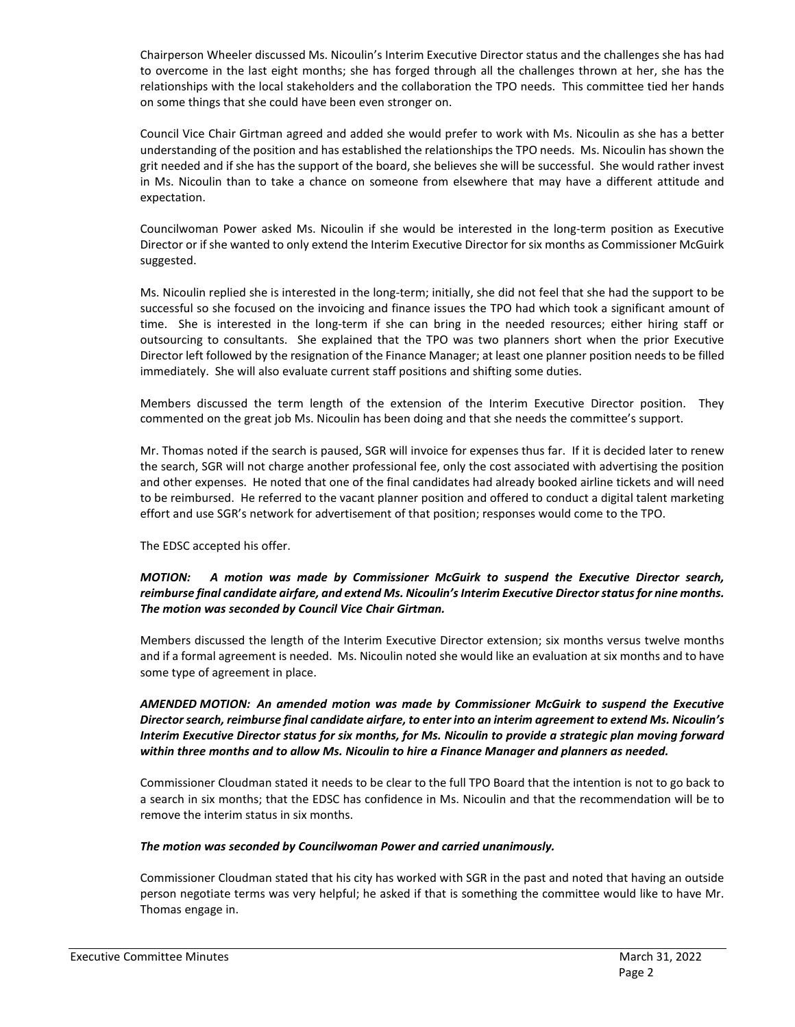Chairperson Wheeler discussed Ms. Nicoulin's Interim Executive Director status and the challenges she has had to overcome in the last eight months; she has forged through all the challenges thrown at her, she has the relationships with the local stakeholders and the collaboration the TPO needs. This committee tied her hands on some things that she could have been even stronger on.

Council Vice Chair Girtman agreed and added she would prefer to work with Ms. Nicoulin as she has a better understanding of the position and has established the relationships the TPO needs. Ms. Nicoulin has shown the grit needed and if she has the support of the board, she believes she will be successful. She would rather invest in Ms. Nicoulin than to take a chance on someone from elsewhere that may have a different attitude and expectation.

Councilwoman Power asked Ms. Nicoulin if she would be interested in the long-term position as Executive Director or if she wanted to only extend the Interim Executive Director for six months as Commissioner McGuirk suggested.

Ms. Nicoulin replied she is interested in the long-term; initially, she did not feel that she had the support to be successful so she focused on the invoicing and finance issues the TPO had which took a significant amount of time. She is interested in the long-term if she can bring in the needed resources; either hiring staff or outsourcing to consultants. She explained that the TPO was two planners short when the prior Executive Director left followed by the resignation of the Finance Manager; at least one planner position needs to be filled immediately. She will also evaluate current staff positions and shifting some duties.

Members discussed the term length of the extension of the Interim Executive Director position. They commented on the great job Ms. Nicoulin has been doing and that she needs the committee's support.

Mr. Thomas noted if the search is paused, SGR will invoice for expenses thus far. If it is decided later to renew the search, SGR will not charge another professional fee, only the cost associated with advertising the position and other expenses. He noted that one of the final candidates had already booked airline tickets and will need to be reimbursed. He referred to the vacant planner position and offered to conduct a digital talent marketing effort and use SGR's network for advertisement of that position; responses would come to the TPO.

The EDSC accepted his offer.

## *MOTION: A motion was made by Commissioner McGuirk to suspend the Executive Director search, reimburse final candidate airfare, and extend Ms. Nicoulin'sInterim Executive Director status for nine months. The motion was seconded by Council Vice Chair Girtman.*

Members discussed the length of the Interim Executive Director extension; six months versus twelve months and if a formal agreement is needed. Ms. Nicoulin noted she would like an evaluation at six months and to have some type of agreement in place.

*AMENDED MOTION: An amended motion was made by Commissioner McGuirk to suspend the Executive Director search, reimburse final candidate airfare, to enter into an interim agreement to extend Ms. Nicoulin's Interim Executive Director status for six months, for Ms. Nicoulin to provide a strategic plan moving forward within three months and to allow Ms. Nicoulin to hire a Finance Manager and planners as needed.* 

Commissioner Cloudman stated it needs to be clear to the full TPO Board that the intention is not to go back to a search in six months; that the EDSC has confidence in Ms. Nicoulin and that the recommendation will be to remove the interim status in six months.

## *The motion was seconded by Councilwoman Power and carried unanimously.*

Commissioner Cloudman stated that his city has worked with SGR in the past and noted that having an outside person negotiate terms was very helpful; he asked if that is something the committee would like to have Mr. Thomas engage in.